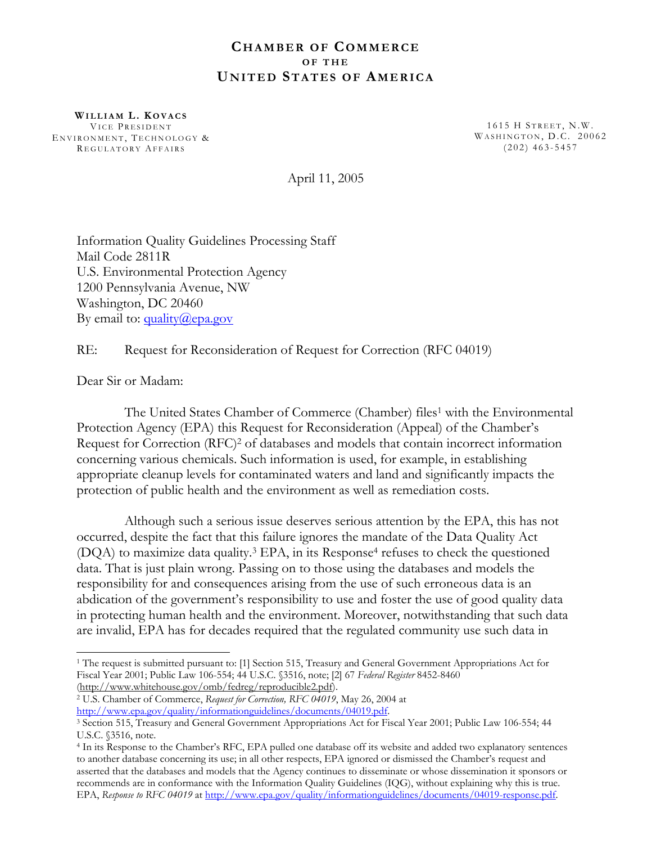### **CHAMBER OF COMMERCE OF THE UNITED STATES OF AMERICA**

**WILLIAM L . K OVACS** VICE PRESIDENT ENVIRONMENT, TECHNOLOGY & R EGULATORY AFFAIRS

1615 H STREET, N.W. WASHINGTON, D.C. 20062 (202) 463-5457

April 11, 2005

Information Quality Guidelines Processing Staff Mail Code 2811R U.S. Environmental Protection Agency 1200 Pennsylvania Avenue, NW Washington, DC 20460 By email to:  $\frac{quality(a)}{epa.gov}$ 

RE: Request for Reconsideration of Request for Correction (RFC 04019)

Dear Sir or Madam:

 $\overline{a}$ 

The United States Chamber of Commerce (Chamber) files<sup>1</sup> with the Environmental Protection Agency (EPA) this Request for Reconsideration (Appeal) of the Chamber's Request for Correction (RFC)<sup>2</sup> of databases and models that contain incorrect information concerning various chemicals. Such information is used, for example, in establishing appropriate cleanup levels for contaminated waters and land and significantly impacts the protection of public health and the environment as well as remediation costs.

Although such a serious issue deserves serious attention by the EPA, this has not occurred, despite the fact that this failure ignores the mandate of the Data Quality Act  $(DQA)$  to maximize data quality.<sup>3</sup> EPA, in its Response<sup>4</sup> refuses to check the questioned data. That is just plain wrong. Passing on to those using the databases and models the responsibility for and consequences arising from the use of such erroneous data is an abdication of the government's responsibility to use and foster the use of good quality data in protecting human health and the environment. Moreover, notwithstanding that such data are invalid, EPA has for decades required that the regulated community use such data in

<span id="page-0-0"></span>1 The request is submitted pursuant to: [1] Section 515, Treasury and General Government Appropriations Act for Fiscal Year 2001; Public Law 106-554; 44 U.S.C. §3516, note; [2] 67 *Federal Register* 8452-8460

<span id="page-0-1"></span>(<http://www.whitehouse.gov/omb/fedreg/reproducible2.pdf>). 2 U.S. Chamber of Commerce, *Request for Correction, RFC 04019*, May 26, 2004 at

<span id="page-0-2"></span>[http://www.epa.gov/quality/informationguidelines/documents/04019.pdf.](http://www.epa.gov/quality/informationguidelines/documents/04019.pdf)<br><sup>3</sup> Section 515, Treasury and General Government Appropriations Act for Fiscal Year 2001; Public Law 106-554; 44 U.S.C. §3516, note.

<span id="page-0-3"></span><sup>4</sup> In its Response to the Chamber's RFC, EPA pulled one database off its website and added two explanatory sentences to another database concerning its use; in all other respects, EPA ignored or dismissed the Chamber's request and asserted that the databases and models that the Agency continues to disseminate or whose dissemination it sponsors or recommends are in conformance with the Information Quality Guidelines (IQG), without explaining why this is true. EPA, *Response to RFC 04019* at [http://www.epa.gov/quality/informationguidelines/documents/04019-response.pdf.](http://www.epa.gov/quality/informationguidelines/documents/04019-response.pdf)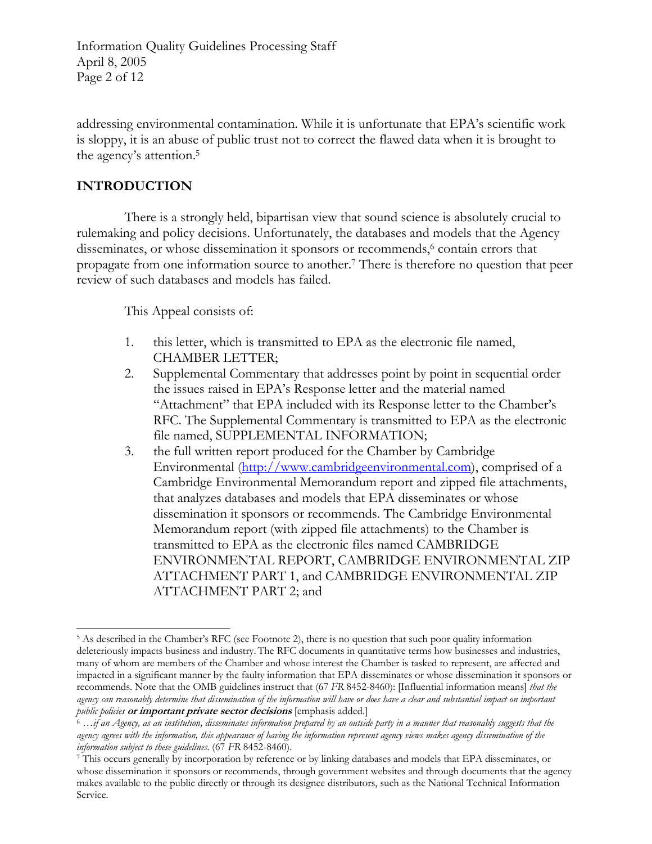Information Quality Guidelines Processing Staff April 8, 2005 Page 2 of 12

addressing environmental contamination. While it is unfortunate that EPA's scientific work is sloppy, it is an abuse of public trust not to correct the flawed data when it is brought to the agency's attention.[5](#page-1-0)

## **INTRODUCTION**

There is a strongly held, bipartisan view that sound science is absolutely crucial to rulemaking and policy decisions. Unfortunately, the databases and models that the Agency disseminates, or whose dissemination it sponsors or recommends,<sup>6</sup> contain errors that propagate from one information source to another[.7](#page-1-2) There is therefore no question that peer review of such databases and models has failed.

This Appeal consists of:

- 1. this letter, which is transmitted to EPA as the electronic file named, CHAMBER LETTER;
- 2. Supplemental Commentary that addresses point by point in sequential order the issues raised in EPA's Response letter and the material named "Attachment" that EPA included with its Response letter to the Chamber's RFC. The Supplemental Commentary is transmitted to EPA as the electronic file named, SUPPLEMENTAL INFORMATION;
- 3. the full written report produced for the Chamber by Cambridge Environmental [\(http://www.cambridgeenvironmental.com\)](http://www.cambridgeenvironmental.com/), comprised of a Cambridge Environmental Memorandum report and zipped file attachments, that analyzes databases and models that EPA disseminates or whose dissemination it sponsors or recommends. The Cambridge Environmental Memorandum report (with zipped file attachments) to the Chamber is transmitted to EPA as the electronic files named CAMBRIDGE ENVIRONMENTAL REPORT, CAMBRIDGE ENVIRONMENTAL ZIP ATTACHMENT PART 1, and CAMBRIDGE ENVIRONMENTAL ZIP ATTACHMENT PART 2; and

<span id="page-1-0"></span> $\overline{a}$ 5 As described in the Chamber's RFC (see Footnote 2), there is no question that such poor quality information deleteriously impacts business and industry.The RFC documents in quantitative terms how businesses and industries, many of whom are members of the Chamber and whose interest the Chamber is tasked to represent, are affected and impacted in a significant manner by the faulty information that EPA disseminates or whose dissemination it sponsors or recommends. Note that the OMB guidelines instruct that (67 *FR* 8452-8460): [Influential information means] *that the agency can reasonably determine that dissemination of the information will have or does have a clear and substantial impact on important*  public policies **or important private sector decisions** [emphasis added.]<br><sup>6</sup> ...if an Agency, as an institution, disseminates information prepared by an outside party in a manner that reasonably suggests that the

<span id="page-1-1"></span>*agency agrees with the information, this appearance of having the information represent agency views makes agency dissemination of the information subject to these guidelines*. (67 FR 8452-8460). *This of the state and models that EPA* disseminates, or *This occurs generally by incorporation by reference or by linking databases and models that EPA dissem* 

<span id="page-1-2"></span>whose dissemination it sponsors or recommends, through government websites and through documents that the agency makes available to the public directly or through its designee distributors, such as the National Technical Information Service.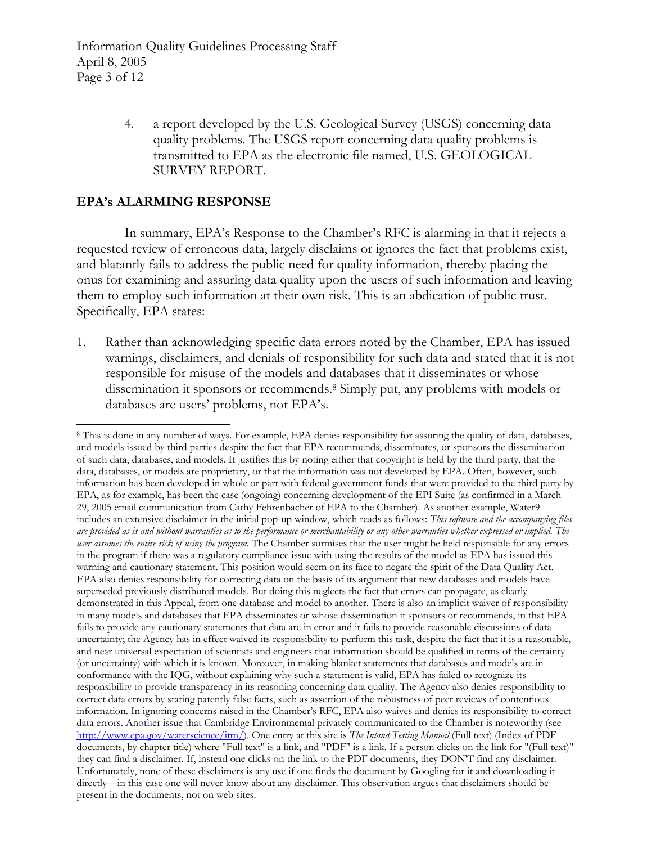Information Quality Guidelines Processing Staff April 8, 2005 Page 3 of 12

> 4. a report developed by the U.S. Geological Survey (USGS) concerning data quality problems. The USGS report concerning data quality problems is transmitted to EPA as the electronic file named, U.S. GEOLOGICAL SURVEY REPORT.

## **EPA's ALARMING RESPONSE**

In summary, EPA's Response to the Chamber's RFC is alarming in that it rejects a requested review of erroneous data, largely disclaims or ignores the fact that problems exist, and blatantly fails to address the public need for quality information, thereby placing the onus for examining and assuring data quality upon the users of such information and leaving them to employ such information at their own risk. This is an abdication of public trust. Specifically, EPA states:

1. Rather than acknowledging specific data errors noted by the Chamber, EPA has issued warnings, disclaimers, and denials of responsibility for such data and stated that it is not responsible for misuse of the models and databases that it disseminates or whose dissemination it sponsors or recommends[.8](#page-2-0) Simply put, any problems with models or databases are users' problems, not EPA's.

<span id="page-2-0"></span> $\overline{a}$ 8 This is done in any number of ways. For example, EPA denies responsibility for assuring the quality of data, databases, and models issued by third parties despite the fact that EPA recommends, disseminates, or sponsors the dissemination of such data, databases, and models. It justifies this by noting either that copyright is held by the third party, that the data, databases, or models are proprietary, or that the information was not developed by EPA. Often, however, such information has been developed in whole or part with federal government funds that were provided to the third party by EPA, as for example, has been the case (ongoing) concerning development of the EPI Suite (as confirmed in a March 29, 2005 email communication from Cathy Fehrenbacher of EPA to the Chamber). As another example, Water9 includes an extensive disclaimer in the initial pop-up window, which reads as follows: *This software and the accompanying files are provided as is and without warranties as to the performance or merchantability or any other warranties whether expressed or implied. The user assumes the entire risk of using the program.* The Chamber surmises that the user might be held responsible for any errors in the program if there was a regulatory compliance issue with using the results of the model as EPA has issued this warning and cautionary statement. This position would seem on its face to negate the spirit of the Data Quality Act. EPA also denies responsibility for correcting data on the basis of its argument that new databases and models have superseded previously distributed models. But doing this neglects the fact that errors can propagate, as clearly demonstrated in this Appeal, from one database and model to another. There is also an implicit waiver of responsibility in many models and databases that EPA disseminates or whose dissemination it sponsors or recommends, in that EPA fails to provide any cautionary statements that data are in error and it fails to provide reasonable discussions of data uncertainty; the Agency has in effect waived its responsibility to perform this task, despite the fact that it is a reasonable, and near universal expectation of scientists and engineers that information should be qualified in terms of the certainty (or uncertainty) with which it is known. Moreover, in making blanket statements that databases and models are in conformance with the IQG, without explaining why such a statement is valid, EPA has failed to recognize its responsibility to provide transparency in its reasoning concerning data quality. The Agency also denies responsibility to correct data errors by stating patently false facts, such as assertion of the robustness of peer reviews of contentious information. In ignoring concerns raised in the Chamber's RFC, EPA also waives and denies its responsibility to correct data errors. Another issue that Cambridge Environmental privately communicated to the Chamber is noteworthy (see [http://www.epa.gov/waterscience/itm/\)](http://www.epa.gov/waterscience/itm/). One entry at this site is *The Inland Testing Manual* (Full text) (Index of PDF documents, by chapter title) where "Full text" is a link, and "PDF" is a link. If a person clicks on the link for "(Full text)" they can find a disclaimer. If, instead one clicks on the link to the PDF documents, they DON'T find any disclaimer. Unfortunately, none of these disclaimers is any use if one finds the document by Googling for it and downloading it directly—in this case one will never know about any disclaimer. This observation argues that disclaimers should be present in the documents, not on web sites.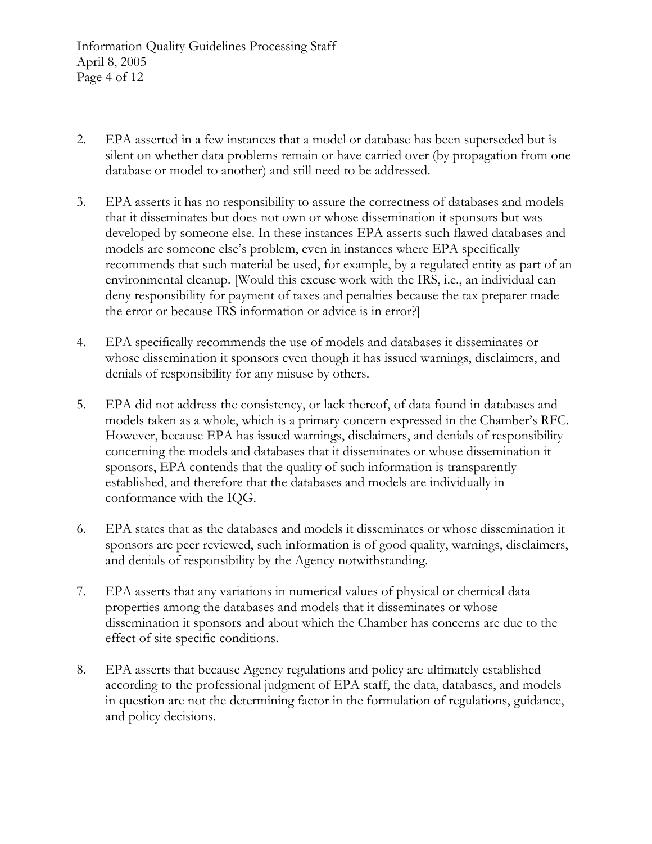Information Quality Guidelines Processing Staff April 8, 2005 Page 4 of 12

- 2. EPA asserted in a few instances that a model or database has been superseded but is silent on whether data problems remain or have carried over (by propagation from one database or model to another) and still need to be addressed.
- 3. EPA asserts it has no responsibility to assure the correctness of databases and models that it disseminates but does not own or whose dissemination it sponsors but was developed by someone else. In these instances EPA asserts such flawed databases and models are someone else's problem, even in instances where EPA specifically recommends that such material be used, for example, by a regulated entity as part of an environmental cleanup. [Would this excuse work with the IRS, i.e., an individual can deny responsibility for payment of taxes and penalties because the tax preparer made the error or because IRS information or advice is in error?]
- 4. EPA specifically recommends the use of models and databases it disseminates or whose dissemination it sponsors even though it has issued warnings, disclaimers, and denials of responsibility for any misuse by others.
- 5. EPA did not address the consistency, or lack thereof, of data found in databases and models taken as a whole, which is a primary concern expressed in the Chamber's RFC. However, because EPA has issued warnings, disclaimers, and denials of responsibility concerning the models and databases that it disseminates or whose dissemination it sponsors, EPA contends that the quality of such information is transparently established, and therefore that the databases and models are individually in conformance with the IQG.
- 6. EPA states that as the databases and models it disseminates or whose dissemination it sponsors are peer reviewed, such information is of good quality, warnings, disclaimers, and denials of responsibility by the Agency notwithstanding.
- 7. EPA asserts that any variations in numerical values of physical or chemical data properties among the databases and models that it disseminates or whose dissemination it sponsors and about which the Chamber has concerns are due to the effect of site specific conditions.
- 8. EPA asserts that because Agency regulations and policy are ultimately established according to the professional judgment of EPA staff, the data, databases, and models in question are not the determining factor in the formulation of regulations, guidance, and policy decisions.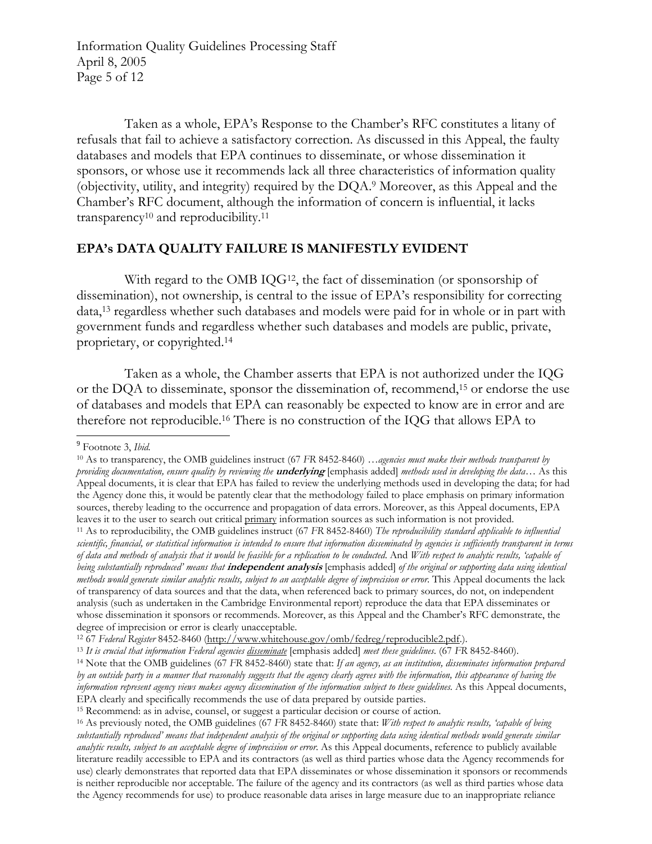Information Quality Guidelines Processing Staff April 8, 2005 Page 5 of 12

Taken as a whole, EPA's Response to the Chamber's RFC constitutes a litany of refusals that fail to achieve a satisfactory correction. As discussed in this Appeal, the faulty databases and models that EPA continues to disseminate, or whose dissemination it sponsors, or whose use it recommends lack all three characteristics of information quality (objectivity, utility, and integrity) required by the DQA.[9](#page-4-0) Moreover, as this Appeal and the Chamber's RFC document, although the information of concern is influential, it lacks transparency[10](#page-4-1) and reproducibility[.11](#page-4-2)

### **EPA's DATA QUALITY FAILURE IS MANIFESTLY EVIDENT**

With regard to the OMB IQG<sup>12</sup>, the fact of dissemination (or sponsorship of dissemination), not ownership, is central to the issue of EPA's responsibility for correcting data,[13](#page-4-4) regardless whether such databases and models were paid for in whole or in part with government funds and regardless whether such databases and models are public, private, proprietary, or copyrighted.[14](#page-4-5)

Taken as a whole, the Chamber asserts that EPA is not authorized under the IQG or the DQA to disseminate, sponsor the dissemination of, recommend[,15](#page-4-6) or endorse the use of databases and models that EPA can reasonably be expected to know are in error and are therefore not reproducible.[16](#page-4-7) There is no construction of the IQG that allows EPA to

 $\overline{a}$ 

<span id="page-4-0"></span><sup>9</sup> Footnote 3, *Ibid.* 

<span id="page-4-1"></span><sup>10</sup> As to transparency, the OMB guidelines instruct (67 *FR* 8452-8460) …*agencies must make their methods transparent by providing documentation, ensure quality by reviewing the* **underlying** [emphasis added] *methods used in developing the data…* As this Appeal documents, it is clear that EPA has failed to review the underlying methods used in developing the data; for had the Agency done this, it would be patently clear that the methodology failed to place emphasis on primary information sources, thereby leading to the occurrence and propagation of data errors. Moreover, as this Appeal documents, EPA leaves it to the user to search out critical primary information sources as such information is not provided.<br><sup>11</sup> As to reproducibility, the OMB guidelines instruct (67 FR 8452-8460) The reproducibility standard applicabl

<span id="page-4-2"></span>*scientific, financial, or statistical information is intended to ensure that information disseminated by agencies is sufficiently transparent in terms of data and methods of analysis that it would be feasible for a replication to be conducted*. And *With respect to analytic results, 'capable of being substantially reproduced' means that* **independent analysis** [emphasis added] *of the original or supporting data using identical methods would generate similar analytic results, subject to an acceptable degree of imprecision or error*. This Appeal documents the lack of transparency of data sources and that the data, when referenced back to primary sources, do not, on independent analysis (such as undertaken in the Cambridge Environmental report) reproduce the data that EPA disseminates or whose dissemination it sponsors or recommends. Moreover, as this Appeal and the Chamber's RFC demonstrate, the degree of imprecision or error is clearly unacceptable.<br><sup>12</sup> 67 Federal Register 8452-8460 (http://www.whitehouse.gov/omb/fedreg/reproducible2.pdf.).

<span id="page-4-3"></span>

<span id="page-4-4"></span><sup>&</sup>lt;sup>13</sup> It is crucial that information Federal agencies <u>disseminate</u> [emphasis added] meet these guidelines. ( $67$  FR 8452-8460).<br><sup>14</sup> Note that the OMB guidelines ( $67$  FR 8452-8460) state that: If an agency, as an institu

<span id="page-4-5"></span>*by an outside party in a manner that reasonably suggests that the agency clearly agrees with the information, this appearance of having the information represent agency views makes agency dissemination of the information subject to these guidelines.* As this Appeal documents, EPA clearly and specifically recommends the use of data prepared by outside parties.

<span id="page-4-6"></span>

<span id="page-4-7"></span><sup>&</sup>lt;sup>15</sup> Recommend: as in advise, counsel, or suggest a particular decision or course of action.<br><sup>16</sup> As previously noted, the OMB guidelines (67 FR 8452-8460) state that: *With respect to analytic results, 'capable of being substantially reproduced' means that independent analysis of the original or supporting data using identical methods would generate similar analytic results, subject to an acceptable degree of imprecision or error*. As this Appeal documents, reference to publicly available literature readily accessible to EPA and its contractors (as well as third parties whose data the Agency recommends for use) clearly demonstrates that reported data that EPA disseminates or whose dissemination it sponsors or recommends is neither reproducible nor acceptable. The failure of the agency and its contractors (as well as third parties whose data the Agency recommends for use) to produce reasonable data arises in large measure due to an inappropriate reliance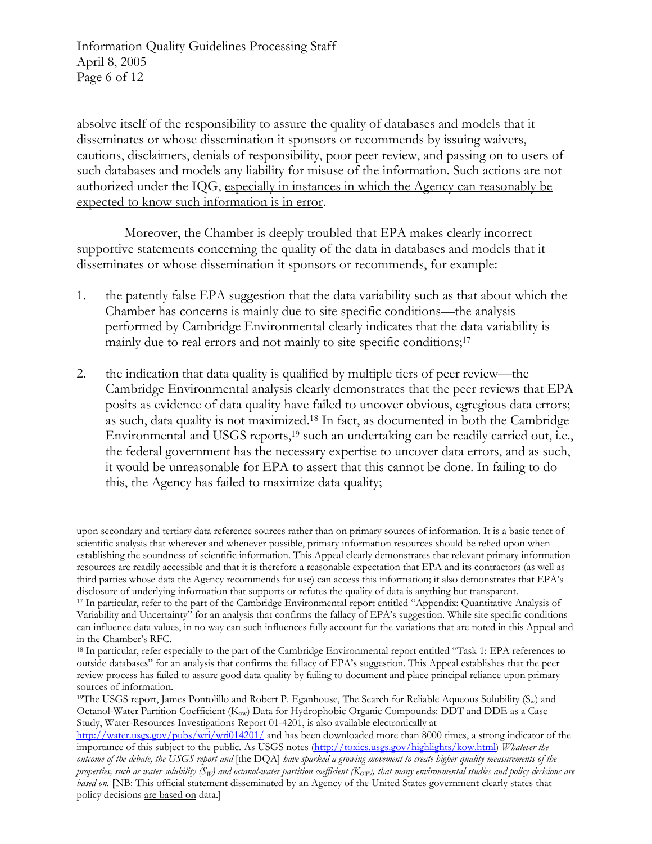Information Quality Guidelines Processing Staff April 8, 2005 Page 6 of 12

 $\overline{a}$ 

absolve itself of the responsibility to assure the quality of databases and models that it disseminates or whose dissemination it sponsors or recommends by issuing waivers, cautions, disclaimers, denials of responsibility, poor peer review, and passing on to users of such databases and models any liability for misuse of the information. Such actions are not authorized under the IQG, especially in instances in which the Agency can reasonably be expected to know such information is in error.

Moreover, the Chamber is deeply troubled that EPA makes clearly incorrect supportive statements concerning the quality of the data in databases and models that it disseminates or whose dissemination it sponsors or recommends, for example:

- 1. the patently false EPA suggestion that the data variability such as that about which the Chamber has concerns is mainly due to site specific conditions—the analysis performed by Cambridge Environmental clearly indicates that the data variability is mainly due to real errors and not mainly to site specific conditions;<sup>17</sup>
- 2. the indication that data quality is qualified by multiple tiers of peer review—the Cambridge Environmental analysis clearly demonstrates that the peer reviews that EPA posits as evidence of data quality have failed to uncover obvious, egregious data errors; as such, data quality is not maximized.[18](#page-5-1) In fact, as documented in both the Cambridge Environmental and USGS reports,<sup>19</sup> such an undertaking can be readily carried out, i.e., the federal government has the necessary expertise to uncover data errors, and as such, it would be unreasonable for EPA to assert that this cannot be done. In failing to do this, the Agency has failed to maximize data quality;

upon secondary and tertiary data reference sources rather than on primary sources of information. It is a basic tenet of scientific analysis that wherever and whenever possible, primary information resources should be relied upon when establishing the soundness of scientific information. This Appeal clearly demonstrates that relevant primary information resources are readily accessible and that it is therefore a reasonable expectation that EPA and its contractors (as well as third parties whose data the Agency recommends for use) can access this information; it also demonstrates that EPA's disclosure of underlying information that supports or refutes the quality of data is anything but transparent.<br><sup>17</sup> In particular, refer to the part of the Cambridge Environmental report entitled "Appendix: Quantitative An

<span id="page-5-0"></span>Variability and Uncertainty" for an analysis that confirms the fallacy of EPA's suggestion. While site specific conditions can influence data values, in no way can such influences fully account for the variations that are noted in this Appeal and in the Chamber's RFC.

<span id="page-5-1"></span><sup>18</sup> In particular, refer especially to the part of the Cambridge Environmental report entitled "Task 1: EPA references to outside databases" for an analysis that confirms the fallacy of EPA's suggestion. This Appeal establishes that the peer review process has failed to assure good data quality by failing to document and place principal reliance upon primary sources of information.

<span id="page-5-2"></span><sup>&</sup>lt;sup>19</sup>The USGS report, James Pontolillo and Robert P. Eganhouse, The Search for Reliable Aqueous Solubility (S<sub>w</sub>) and Octanol-Water Partition Coefficient (Kow) Data for Hydrophobic Organic Compounds: DDT and DDE as a Case Study, Water-Resources Investigations Report 01-4201, is also available electronically at

<http://water.usgs.gov/pubs/wri/wri014201/> and has been downloaded more than 8000 times, a strong indicator of the importance of this subject to the public. As USGS notes [\(http://toxics.usgs.gov/highlights/kow.html\)](http://toxics.usgs.gov/highlights/kow.html) *Whatever the outcome of the debate, the USGS report and* [the DQA] *have sparked a growing movement to create higher quality measurements of the properties, such as water solubility* ( $S_W$ ) and octanol-water partition coefficient ( $K_{\rm{OW}}$ ), that many environmental studies and policy decisions are *based on.* **[**NB: This official statement disseminated by an Agency of the United States government clearly states that policy decisions are based on data.]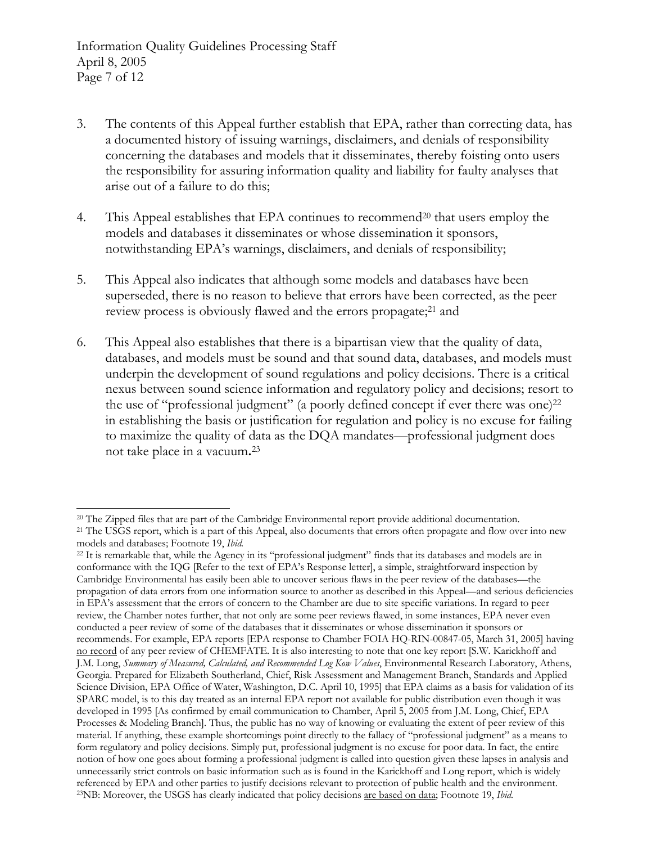$\overline{\phantom{a}}$ 

- 3. The contents of this Appeal further establish that EPA, rather than correcting data, has a documented history of issuing warnings, disclaimers, and denials of responsibility concerning the databases and models that it disseminates, thereby foisting onto users the responsibility for assuring information quality and liability for faulty analyses that arise out of a failure to do this;
- 4. This Appeal establishes that EPA continues to recommend[20](#page-6-0) that users employ the models and databases it disseminates or whose dissemination it sponsors, notwithstanding EPA's warnings, disclaimers, and denials of responsibility;
- 5. This Appeal also indicates that although some models and databases have been superseded, there is no reason to believe that errors have been corrected, as the peer review process is obviously flawed and the errors propagate;<sup>21</sup> and
- 6. This Appeal also establishes that there is a bipartisan view that the quality of data, databases, and models must be sound and that sound data, databases, and models must underpin the development of sound regulations and policy decisions. There is a critical nexus between sound science information and regulatory policy and decisions; resort to the use of "professional judgment" (a poorly defined concept if ever there was one) $^{22}$  $^{22}$  $^{22}$ in establishing the basis or justification for regulation and policy is no excuse for failing to maximize the quality of data as the DQA mandates—professional judgment does not take place in a vacuum**.**[23](#page-6-3)

<span id="page-6-1"></span><span id="page-6-0"></span><sup>&</sup>lt;sup>20</sup> The Zipped files that are part of the Cambridge Environmental report provide additional documentation.<br><sup>21</sup> The USGS report, which is a part of this Appeal, also documents that errors often propagate and flow over int models and databases; Footnote 19, *Ibid.* 

<span id="page-6-3"></span><span id="page-6-2"></span><sup>22</sup> It is remarkable that, while the Agency in its "professional judgment" finds that its databases and models are in conformance with the IQG [Refer to the text of EPA's Response letter], a simple, straightforward inspection by Cambridge Environmental has easily been able to uncover serious flaws in the peer review of the databases—the propagation of data errors from one information source to another as described in this Appeal—and serious deficiencies in EPA's assessment that the errors of concern to the Chamber are due to site specific variations. In regard to peer review, the Chamber notes further, that not only are some peer reviews flawed, in some instances, EPA never even conducted a peer review of some of the databases that it disseminates or whose dissemination it sponsors or recommends. For example, EPA reports [EPA response to Chamber FOIA HQ-RIN-00847-05, March 31, 2005] having no record of any peer review of CHEMFATE. It is also interesting to note that one key report [S.W. Karickhoff and J.M. Long, *Summary of Measured, Calculated, and Recommended Log Kow Values*, Environmental Research Laboratory, Athens, Georgia. Prepared for Elizabeth Southerland, Chief, Risk Assessment and Management Branch, Standards and Applied Science Division, EPA Office of Water, Washington, D.C. April 10, 1995] that EPA claims as a basis for validation of its SPARC model, is to this day treated as an internal EPA report not available for public distribution even though it was developed in 1995 [As confirmed by email communication to Chamber, April 5, 2005 from J.M. Long, Chief, EPA Processes & Modeling Branch]. Thus, the public has no way of knowing or evaluating the extent of peer review of this material. If anything, these example shortcomings point directly to the fallacy of "professional judgment" as a means to form regulatory and policy decisions. Simply put, professional judgment is no excuse for poor data. In fact, the entire notion of how one goes about forming a professional judgment is called into question given these lapses in analysis and unnecessarily strict controls on basic information such as is found in the Karickhoff and Long report, which is widely referenced by EPA and other parties to justify decisions relevant to protection of public health and the environment.<br><sup>23</sup>NB: Moreover, the USGS has clearly indicated that policy decisions <u>are based on data</u>; Footnote 19,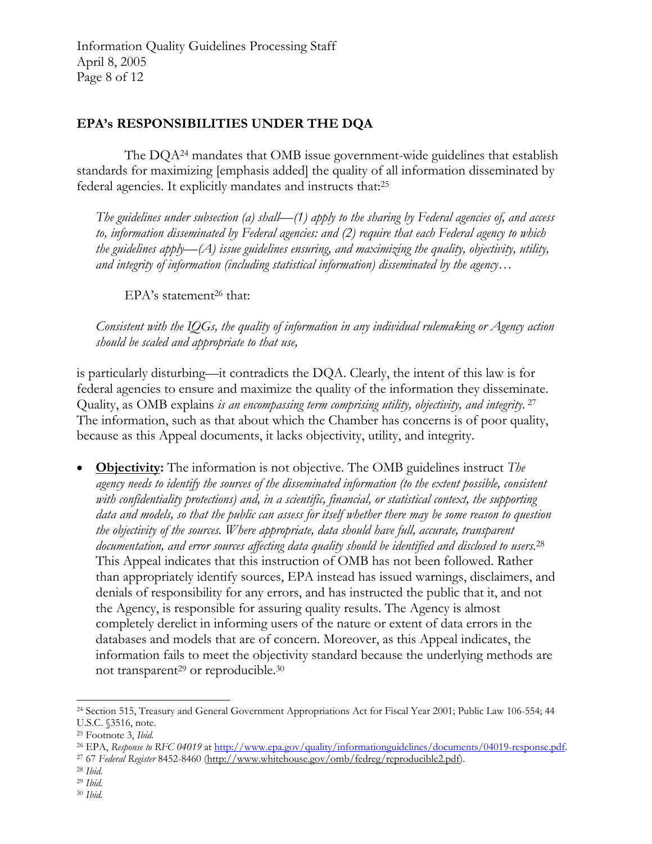Information Quality Guidelines Processing Staff April 8, 2005 Page 8 of 12

# **EPA's RESPONSIBILITIES UNDER THE DQA**

The DQA[24](#page-7-0) mandates that OMB issue government-wide guidelines that establish standards for maximizing [emphasis added] the quality of all information disseminated by federal agencies. It explicitly mandates and instructs that:[25](#page-7-1)

*The guidelines under subsection (a) shall—(1) apply to the sharing by Federal agencies of, and access to, information disseminated by Federal agencies: and (2) require that each Federal agency to which the guidelines apply—(A) issue guidelines ensuring, and maximizing the quality, objectivity, utility, and integrity of information (including statistical information) disseminated by the agency…*

EPA's statement<sup>26</sup> that:

*Consistent with the IQGs, the quality of information in any individual rulemaking or Agency action should be scaled and appropriate to that use,* 

is particularly disturbing—it contradicts the DQA. Clearly, the intent of this law is for federal agencies to ensure and maximize the quality of the information they disseminate. Quality, as OMB explains *is an encompassing term comprising utility, objectivity, and integrity.* [27](#page-7-3) The information, such as that about which the Chamber has concerns is of poor quality, because as this Appeal documents, it lacks objectivity, utility, and integrity.

• **Objectivity:** The information is not objective. The OMB guidelines instruct *The agency needs to identify the sources of the disseminated information (to the extent possible, consistent with confidentiality protections) and, in a scientific, financial, or statistical context, the supporting data and models, so that the public can assess for itself whether there may be some reason to question the objectivity of the sources. Where appropriate, data should have full, accurate, transparent documentation, and error sources affecting data quality should be identified and disclosed to users.*[28](#page-7-4) This Appeal indicates that this instruction of OMB has not been followed. Rather than appropriately identify sources, EPA instead has issued warnings, disclaimers, and denials of responsibility for any errors, and has instructed the public that it, and not the Agency, is responsible for assuring quality results. The Agency is almost completely derelict in informing users of the nature or extent of data errors in the databases and models that are of concern. Moreover, as this Appeal indicates, the information fails to meet the objectivity standard because the underlying methods are not transparent<sup>29</sup> or reproducible.<sup>30</sup>

<span id="page-7-0"></span> $\overline{\phantom{a}}$ 24 Section 515, Treasury and General Government Appropriations Act for Fiscal Year 2001; Public Law 106-554; 44 U.S.C. §3516, note.

<span id="page-7-1"></span><sup>25</sup> Footnote 3, *Ibid.* 

<span id="page-7-2"></span><sup>&</sup>lt;sup>26</sup> EPA, Response to RFC 04019 [at](http://www.whitehouse.gov/omb/fedreg/reproducible2.pdf) <u>[http://www.epa.gov/quality/informationguidelines/documents/04019-response.pdf.](http://www.epa.gov/quality/informationguidelines/documents/04019-response.pdf)</u><br><sup>27</sup> 67 Federal Register 8452-8460 (<u>http://www.whitehouse.gov/omb/fedreg/reproducible2.pdf</u>).<br><sup>28</sup> Ibid.

<span id="page-7-3"></span>

<span id="page-7-4"></span>

<span id="page-7-5"></span><sup>29</sup> *Ibid.*

<span id="page-7-6"></span><sup>30</sup> *Ibid.*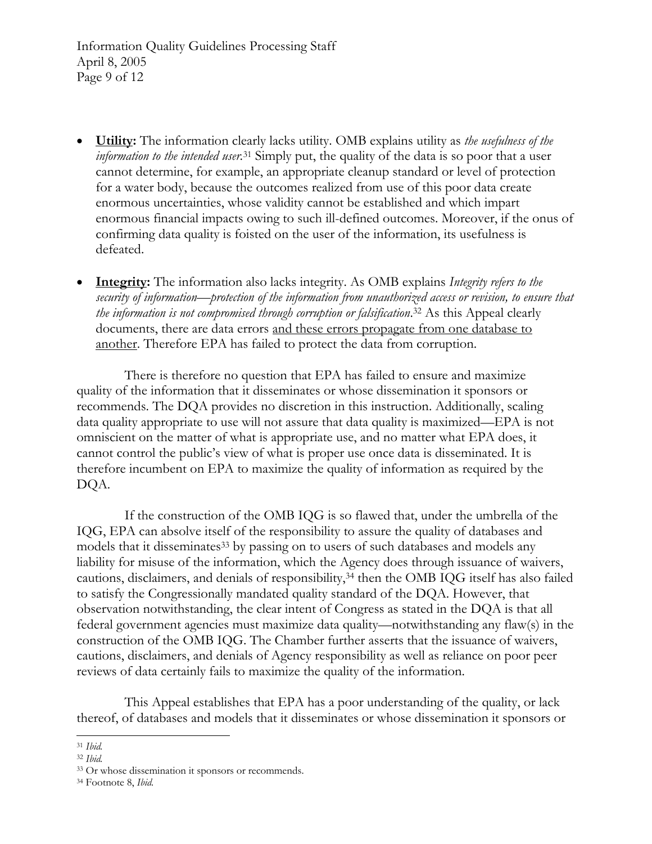Information Quality Guidelines Processing Staff April 8, 2005 Page 9 of 12

- **Utility:** The information clearly lacks utility. OMB explains utility as *the usefulness of the information to the intended user.*[31](#page-8-0) Simply put, the quality of the data is so poor that a user cannot determine, for example, an appropriate cleanup standard or level of protection for a water body, because the outcomes realized from use of this poor data create enormous uncertainties, whose validity cannot be established and which impart enormous financial impacts owing to such ill-defined outcomes. Moreover, if the onus of confirming data quality is foisted on the user of the information, its usefulness is defeated.
- **Integrity:** The information also lacks integrity. As OMB explains *Integrity refers to the security of information—protection of the information from unauthorized access or revision, to ensure that the information is not compromised through corruption or falsification*. [32](#page-8-1) As this Appeal clearly documents, there are data errors and these errors propagate from one database to another. Therefore EPA has failed to protect the data from corruption.

There is therefore no question that EPA has failed to ensure and maximize quality of the information that it disseminates or whose dissemination it sponsors or recommends. The DQA provides no discretion in this instruction. Additionally, scaling data quality appropriate to use will not assure that data quality is maximized—EPA is not omniscient on the matter of what is appropriate use, and no matter what EPA does, it cannot control the public's view of what is proper use once data is disseminated. It is therefore incumbent on EPA to maximize the quality of information as required by the DQA.

If the construction of the OMB IQG is so flawed that, under the umbrella of the IQG, EPA can absolve itself of the responsibility to assure the quality of databases and models that it disseminates<sup>33</sup> by passing on to users of such databases and models any liability for misuse of the information, which the Agency does through issuance of waivers, cautions, disclaimers, and denials of responsibility,[34](#page-8-3) then the OMB IQG itself has also failed to satisfy the Congressionally mandated quality standard of the DQA. However, that observation notwithstanding, the clear intent of Congress as stated in the DQA is that all federal government agencies must maximize data quality—notwithstanding any flaw(s) in the construction of the OMB IQG. The Chamber further asserts that the issuance of waivers, cautions, disclaimers, and denials of Agency responsibility as well as reliance on poor peer reviews of data certainly fails to maximize the quality of the information.

This Appeal establishes that EPA has a poor understanding of the quality, or lack thereof, of databases and models that it disseminates or whose dissemination it sponsors or

<span id="page-8-0"></span> $\overline{a}$ <sup>31</sup> *Ibid.*

<span id="page-8-1"></span><sup>32</sup> *Ibid.*

<span id="page-8-2"></span><sup>33</sup> Or whose dissemination it sponsors or recommends. 34 Footnote 8, *Ibid.*

<span id="page-8-3"></span>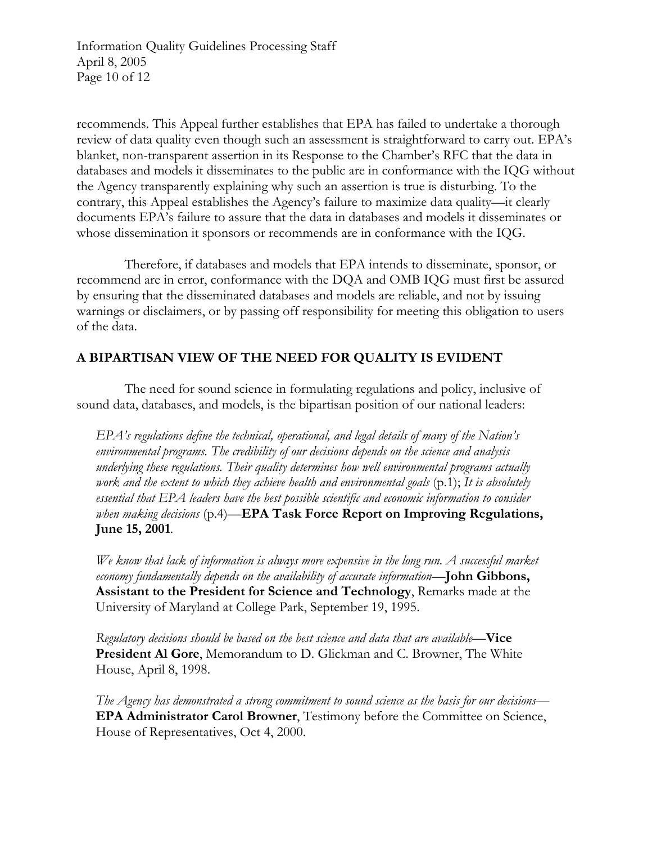Information Quality Guidelines Processing Staff April 8, 2005 Page 10 of 12

recommends. This Appeal further establishes that EPA has failed to undertake a thorough review of data quality even though such an assessment is straightforward to carry out. EPA's blanket, non-transparent assertion in its Response to the Chamber's RFC that the data in databases and models it disseminates to the public are in conformance with the IQG without the Agency transparently explaining why such an assertion is true is disturbing. To the contrary, this Appeal establishes the Agency's failure to maximize data quality—it clearly documents EPA's failure to assure that the data in databases and models it disseminates or whose dissemination it sponsors or recommends are in conformance with the IQG.

Therefore, if databases and models that EPA intends to disseminate, sponsor, or recommend are in error, conformance with the DQA and OMB IQG must first be assured by ensuring that the disseminated databases and models are reliable, and not by issuing warnings or disclaimers, or by passing off responsibility for meeting this obligation to users of the data.

## **A BIPARTISAN VIEW OF THE NEED FOR QUALITY IS EVIDENT**

The need for sound science in formulating regulations and policy, inclusive of sound data, databases, and models, is the bipartisan position of our national leaders:

*EPA's regulations define the technical, operational, and legal details of many of the Nation's environmental programs. The credibility of our decisions depends on the science and analysis underlying these regulations. Their quality determines how well environmental programs actually work and the extent to which they achieve health and environmental goals* (p.1); *It is absolutely essential that EPA leaders have the best possible scientific and economic information to consider when making decisions* (p.4)—**EPA Task Force Report on Improving Regulations, June 15, 2001**.

*We know that lack of information is always more expensive in the long run. A successful market economy fundamentally depends on the availability of accurate information*—**John Gibbons, Assistant to the President for Science and Technology**, Remarks made at the University of Maryland at College Park, September 19, 1995.

*Regulatory decisions should be based on the best science and data that are available*—**Vice President Al Gore**, Memorandum to D. Glickman and C. Browner, The White House, April 8, 1998.

*The Agency has demonstrated a strong commitment to sound science as the basis for our decisions*— **EPA Administrator Carol Browner**, Testimony before the Committee on Science, House of Representatives, Oct 4, 2000.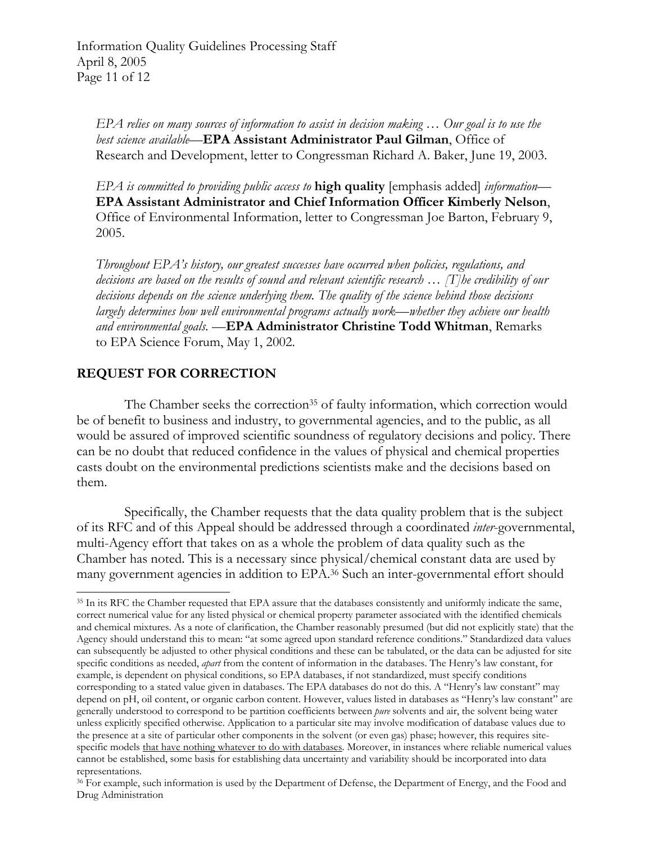*EPA relies on many sources of information to assist in decision making … Our goal is to use the best science available*—**EPA Assistant Administrator Paul Gilman**, Office of Research and Development, letter to Congressman Richard A. Baker, June 19, 2003.

*EPA is committed to providing public access to* **high quality** [emphasis added] *information*— **EPA Assistant Administrator and Chief Information Officer Kimberly Nelson**, Office of Environmental Information, letter to Congressman Joe Barton, February 9, 2005.

*Throughout EPA's history, our greatest successes have occurred when policies, regulations, and decisions are based on the results of sound and relevant scientific research … [T]he credibility of our decisions depends on the science underlying them. The quality of the science behind those decisions largely determines how well environmental programs actually work—whether they achieve our health and environmental goals.* —**EPA Administrator Christine Todd Whitman**, Remarks to EPA Science Forum, May 1, 2002.

## **REQUEST FOR CORRECTION**

 $\overline{\phantom{a}}$ 

The Chamber seeks the correction<sup>35</sup> of faulty information, which correction would be of benefit to business and industry, to governmental agencies, and to the public, as all would be assured of improved scientific soundness of regulatory decisions and policy. There can be no doubt that reduced confidence in the values of physical and chemical properties casts doubt on the environmental predictions scientists make and the decisions based on them.

Specifically, the Chamber requests that the data quality problem that is the subject of its RFC and of this Appeal should be addressed through a coordinated *inter*-governmental, multi-Agency effort that takes on as a whole the problem of data quality such as the Chamber has noted. This is a necessary since physical/chemical constant data are used by many government agencies in addition to EPA.[36](#page-10-1) Such an inter-governmental effort should

<span id="page-10-0"></span><sup>&</sup>lt;sup>35</sup> In its RFC the Chamber requested that EPA assure that the databases consistently and uniformly indicate the same, correct numerical value for any listed physical or chemical property parameter associated with the identified chemicals and chemical mixtures. As a note of clarification, the Chamber reasonably presumed (but did not explicitly state) that the Agency should understand this to mean: "at some agreed upon standard reference conditions." Standardized data values can subsequently be adjusted to other physical conditions and these can be tabulated, or the data can be adjusted for site specific conditions as needed, *apart* from the content of information in the databases. The Henry's law constant, for example, is dependent on physical conditions, so EPA databases, if not standardized, must specify conditions corresponding to a stated value given in databases. The EPA databases do not do this. A "Henry's law constant" may depend on pH, oil content, or organic carbon content. However, values listed in databases as "Henry's law constant" are generally understood to correspond to be partition coefficients between *pure* solvents and air, the solvent being water unless explicitly specified otherwise. Application to a particular site may involve modification of database values due to the presence at a site of particular other components in the solvent (or even gas) phase; however, this requires sitespecific models that have nothing whatever to do with databases. Moreover, in instances where reliable numerical values cannot be established, some basis for establishing data uncertainty and variability should be incorporated into data representations.

<span id="page-10-1"></span><sup>36</sup> For example, such information is used by the Department of Defense, the Department of Energy, and the Food and Drug Administration